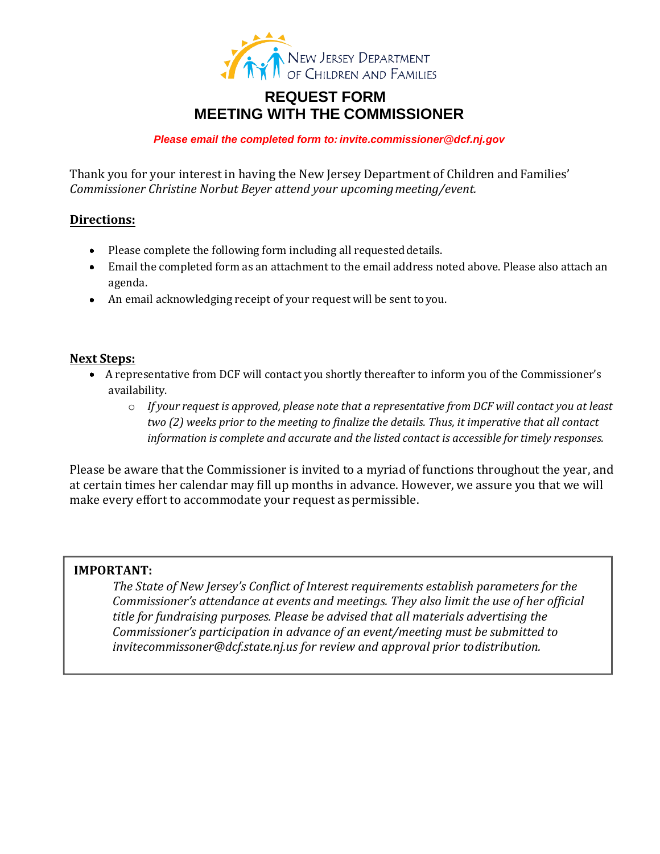

## **REQUEST FORM MEETING WITH THE CO[MMISSIONER](mailto:invite.commissioner@dcf.nj.gov)**

Please email the completed form to: invite *.*commissioner@dcf.nj. *gov*

Thank you for your interest in having the New Jersey Department of Children and Families' *Commissioner Christine Norbut Beyer attend your upcoming meeting/event.*

## **Directions:**

- Please complete the following form including all requested details.
- Email the completed form as an attachment to the email address noted above. Please also attach an agenda.
- An email acknowledging receipt of your request will be sent to you.

## **Next Steps:**

- A representative from DCF will contact you shortly thereafter to inform you of the Commissioner's availability.
	- o *If your request is approved, please note that a representative from DCF will contact you at least two (2) weeks prior to the meeting to finalize the details. Thus, it imperative that all contact information is complete and accurate and the listed contact is accessible for timely responses.*

Please be aware that the Commissioner is invited to a myriad of functions throughout the year, and at certain times her calendar may fill up months in advance. However, we assure you that we will make every effort to accommodate your request as permissible.

## **IMPORTANT:**

*The State of New Jersey's Conflict of Interest requirements establish parameters for the Commissioner's attendance at events and meetings. They also limit the use of her official [title for fundraising purposes. Pleas](mailto:invitecommissoner@dcf.state.nj.us)e be advised that all materials advertising the Commissioner's participation in advance of an event/meeting must be submitted to invitecommissoner@dcf.state.nj.us for review and approval prior to distribution.*